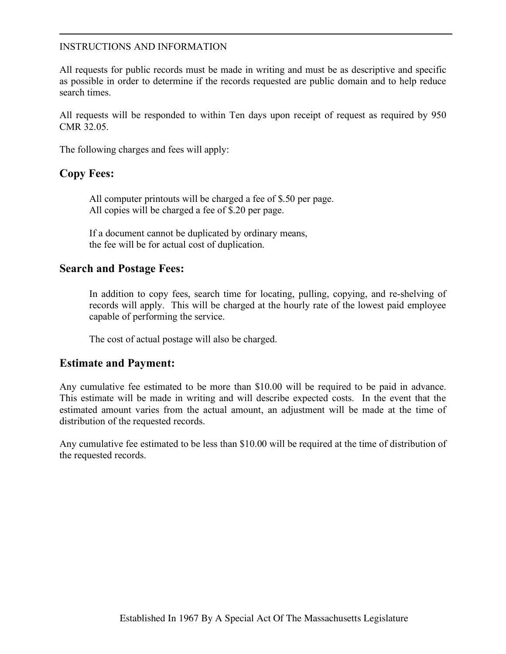#### INSTRUCTIONS AND INFORMATION

All requests for public records must be made in writing and must be as descriptive and specific as possible in order to determine if the records requested are public domain and to help reduce search times.

All requests will be responded to within Ten days upon receipt of request as required by 950 CMR 32.05.

The following charges and fees will apply:

## **Copy Fees:**

All computer printouts will be charged a fee of \$.50 per page. All copies will be charged a fee of \$.20 per page.

If a document cannot be duplicated by ordinary means, the fee will be for actual cost of duplication.

#### **Search and Postage Fees:**

In addition to copy fees, search time for locating, pulling, copying, and re-shelving of records will apply. This will be charged at the hourly rate of the lowest paid employee capable of performing the service.

The cost of actual postage will also be charged.

### **Estimate and Payment:**

Any cumulative fee estimated to be more than \$10.00 will be required to be paid in advance. This estimate will be made in writing and will describe expected costs. In the event that the estimated amount varies from the actual amount, an adjustment will be made at the time of distribution of the requested records.

Any cumulative fee estimated to be less than \$10.00 will be required at the time of distribution of the requested records.